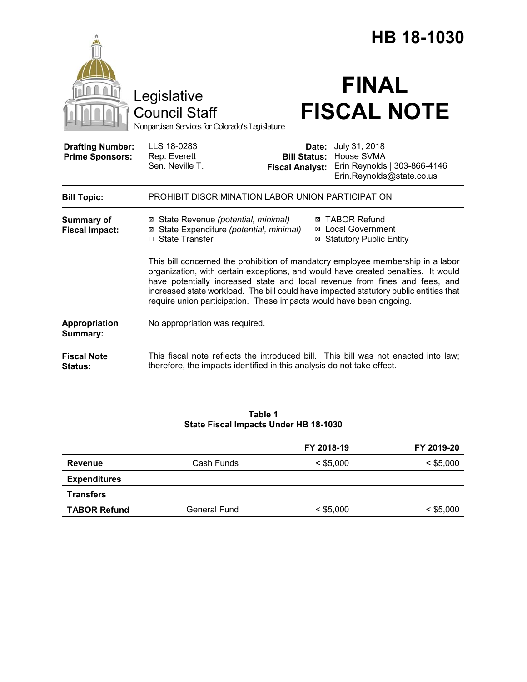|                                                   | HB 18-1030                                                                                                                                                                                                                                                                                                                                                                                                          |  |  |  |
|---------------------------------------------------|---------------------------------------------------------------------------------------------------------------------------------------------------------------------------------------------------------------------------------------------------------------------------------------------------------------------------------------------------------------------------------------------------------------------|--|--|--|
|                                                   | <b>FINAL</b><br>Legislative<br><b>FISCAL NOTE</b><br><b>Council Staff</b><br>Nonpartisan Services for Colorado's Legislature                                                                                                                                                                                                                                                                                        |  |  |  |
| <b>Drafting Number:</b><br><b>Prime Sponsors:</b> | LLS 18-0283<br>July 31, 2018<br>Date:<br>House SVMA<br>Rep. Everett<br><b>Bill Status:</b><br>Sen. Neville T.<br>Erin Reynolds   303-866-4146<br><b>Fiscal Analyst:</b><br>Erin.Reynolds@state.co.us                                                                                                                                                                                                                |  |  |  |
| <b>Bill Topic:</b>                                | PROHIBIT DISCRIMINATION LABOR UNION PARTICIPATION                                                                                                                                                                                                                                                                                                                                                                   |  |  |  |
| <b>Summary of</b><br><b>Fiscal Impact:</b>        | ⊠ TABOR Refund<br>⊠ State Revenue (potential, minimal)<br>⊠ State Expenditure (potential, minimal)<br><b>⊠</b> Local Government<br>□ State Transfer<br><b>⊠ Statutory Public Entity</b>                                                                                                                                                                                                                             |  |  |  |
|                                                   | This bill concerned the prohibition of mandatory employee membership in a labor<br>organization, with certain exceptions, and would have created penalties. It would<br>have potentially increased state and local revenue from fines and fees, and<br>increased state workload. The bill could have impacted statutory public entities that<br>require union participation. These impacts would have been ongoing. |  |  |  |
| Appropriation<br>Summary:                         | No appropriation was required.                                                                                                                                                                                                                                                                                                                                                                                      |  |  |  |
| <b>Fiscal Note</b><br><b>Status:</b>              | This fiscal note reflects the introduced bill. This bill was not enacted into law;<br>therefore, the impacts identified in this analysis do not take effect.                                                                                                                                                                                                                                                        |  |  |  |

### **Table 1 State Fiscal Impacts Under HB 18-1030**

|                     |              | FY 2018-19  | FY 2019-20  |
|---------------------|--------------|-------------|-------------|
| <b>Revenue</b>      | Cash Funds   | $<$ \$5,000 | $<$ \$5,000 |
| <b>Expenditures</b> |              |             |             |
| <b>Transfers</b>    |              |             |             |
| <b>TABOR Refund</b> | General Fund | $<$ \$5,000 | $<$ \$5,000 |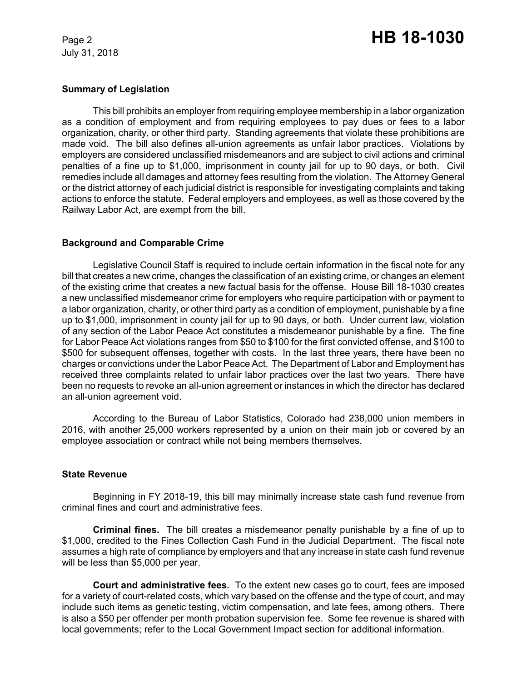July 31, 2018

#### **Summary of Legislation**

This bill prohibits an employer from requiring employee membership in a labor organization as a condition of employment and from requiring employees to pay dues or fees to a labor organization, charity, or other third party. Standing agreements that violate these prohibitions are made void. The bill also defines all-union agreements as unfair labor practices. Violations by employers are considered unclassified misdemeanors and are subject to civil actions and criminal penalties of a fine up to \$1,000, imprisonment in county jail for up to 90 days, or both. Civil remedies include all damages and attorney fees resulting from the violation. The Attorney General or the district attorney of each judicial district is responsible for investigating complaints and taking actions to enforce the statute. Federal employers and employees, as well as those covered by the Railway Labor Act, are exempt from the bill.

## **Background and Comparable Crime**

Legislative Council Staff is required to include certain information in the fiscal note for any bill that creates a new crime, changes the classification of an existing crime, or changes an element of the existing crime that creates a new factual basis for the offense. House Bill 18-1030 creates a new unclassified misdemeanor crime for employers who require participation with or payment to a labor organization, charity, or other third party as a condition of employment, punishable by a fine up to \$1,000, imprisonment in county jail for up to 90 days, or both. Under current law, violation of any section of the Labor Peace Act constitutes a misdemeanor punishable by a fine. The fine for Labor Peace Act violations ranges from \$50 to \$100 for the first convicted offense, and \$100 to \$500 for subsequent offenses, together with costs. In the last three years, there have been no charges or convictions under the Labor Peace Act. The Department of Labor and Employment has received three complaints related to unfair labor practices over the last two years. There have been no requests to revoke an all-union agreement or instances in which the director has declared an all-union agreement void.

According to the Bureau of Labor Statistics, Colorado had 238,000 union members in 2016, with another 25,000 workers represented by a union on their main job or covered by an employee association or contract while not being members themselves.

#### **State Revenue**

Beginning in FY 2018-19, this bill may minimally increase state cash fund revenue from criminal fines and court and administrative fees.

**Criminal fines.** The bill creates a misdemeanor penalty punishable by a fine of up to \$1,000, credited to the Fines Collection Cash Fund in the Judicial Department. The fiscal note assumes a high rate of compliance by employers and that any increase in state cash fund revenue will be less than \$5,000 per year.

**Court and administrative fees.** To the extent new cases go to court, fees are imposed for a variety of court-related costs, which vary based on the offense and the type of court, and may include such items as genetic testing, victim compensation, and late fees, among others. There is also a \$50 per offender per month probation supervision fee. Some fee revenue is shared with local governments; refer to the Local Government Impact section for additional information.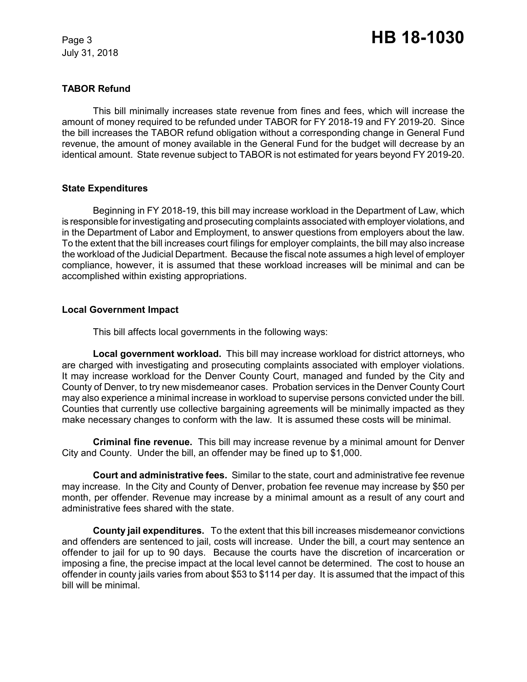July 31, 2018

# **TABOR Refund**

This bill minimally increases state revenue from fines and fees, which will increase the amount of money required to be refunded under TABOR for FY 2018-19 and FY 2019-20. Since the bill increases the TABOR refund obligation without a corresponding change in General Fund revenue, the amount of money available in the General Fund for the budget will decrease by an identical amount. State revenue subject to TABOR is not estimated for years beyond FY 2019-20.

## **State Expenditures**

Beginning in FY 2018-19, this bill may increase workload in the Department of Law, which is responsible for investigating and prosecuting complaints associated with employer violations, and in the Department of Labor and Employment, to answer questions from employers about the law. To the extent that the bill increases court filings for employer complaints, the bill may also increase the workload of the Judicial Department. Because the fiscal note assumes a high level of employer compliance, however, it is assumed that these workload increases will be minimal and can be accomplished within existing appropriations.

# **Local Government Impact**

This bill affects local governments in the following ways:

**Local government workload.** This bill may increase workload for district attorneys, who are charged with investigating and prosecuting complaints associated with employer violations. It may increase workload for the Denver County Court, managed and funded by the City and County of Denver, to try new misdemeanor cases. Probation services in the Denver County Court may also experience a minimal increase in workload to supervise persons convicted under the bill. Counties that currently use collective bargaining agreements will be minimally impacted as they make necessary changes to conform with the law. It is assumed these costs will be minimal.

**Criminal fine revenue.** This bill may increase revenue by a minimal amount for Denver City and County. Under the bill, an offender may be fined up to \$1,000.

**Court and administrative fees.** Similar to the state, court and administrative fee revenue may increase. In the City and County of Denver, probation fee revenue may increase by \$50 per month, per offender. Revenue may increase by a minimal amount as a result of any court and administrative fees shared with the state.

**County jail expenditures.** To the extent that this bill increases misdemeanor convictions and offenders are sentenced to jail, costs will increase. Under the bill, a court may sentence an offender to jail for up to 90 days. Because the courts have the discretion of incarceration or imposing a fine, the precise impact at the local level cannot be determined. The cost to house an offender in county jails varies from about \$53 to \$114 per day. It is assumed that the impact of this bill will be minimal.